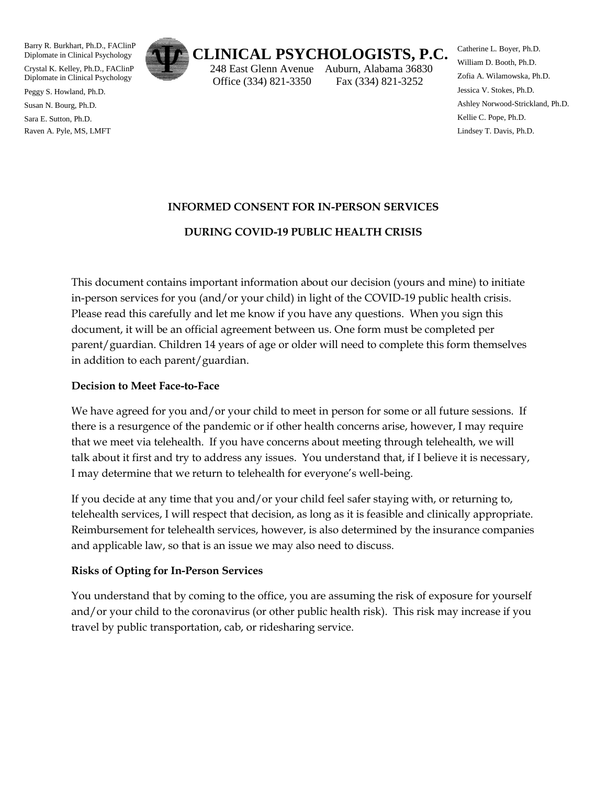Barry R. Burkhart, Ph.D., FAClinP Diplomate in Clinical Psychology

Crystal K. Kelley, Ph.D., FAClinP Diplomate in Clinical Psychology

Peggy S. Howland, Ph.D.

Susan N. Bourg, Ph.D.

Sara E. Sutton, Ph.D. Raven A. Pyle, MS, LMFT



# **CLINICAL PSYCHOLOGISTS, P.C.**

 248 East Glenn Avenue Auburn, Alabama 36830 Office (334) 821-3350 Fax (334) 821-3252

Catherine L. Boyer, Ph.D. William D. Booth, Ph.D. Zofia A. Wilamowska, Ph.D. Jessica V. Stokes, Ph.D. Ashley Norwood-Strickland, Ph.D. Kellie C. Pope, Ph.D. Lindsey T. Davis, Ph.D.

## **INFORMED CONSENT FOR IN-PERSON SERVICES**

## **DURING COVID-19 PUBLIC HEALTH CRISIS**

This document contains important information about our decision (yours and mine) to initiate in-person services for you (and/or your child) in light of the COVID-19 public health crisis. Please read this carefully and let me know if you have any questions. When you sign this document, it will be an official agreement between us. One form must be completed per parent/guardian. Children 14 years of age or older will need to complete this form themselves in addition to each parent/guardian.

#### **Decision to Meet Face-to-Face**

We have agreed for you and/or your child to meet in person for some or all future sessions. If there is a resurgence of the pandemic or if other health concerns arise, however, I may require that we meet via telehealth. If you have concerns about meeting through telehealth, we will talk about it first and try to address any issues. You understand that, if I believe it is necessary, I may determine that we return to telehealth for everyone's well-being.

If you decide at any time that you and/or your child feel safer staying with, or returning to, telehealth services, I will respect that decision, as long as it is feasible and clinically appropriate. Reimbursement for telehealth services, however, is also determined by the insurance companies and applicable law, so that is an issue we may also need to discuss.

#### **Risks of Opting for In-Person Services**

You understand that by coming to the office, you are assuming the risk of exposure for yourself and/or your child to the coronavirus (or other public health risk). This risk may increase if you travel by public transportation, cab, or ridesharing service.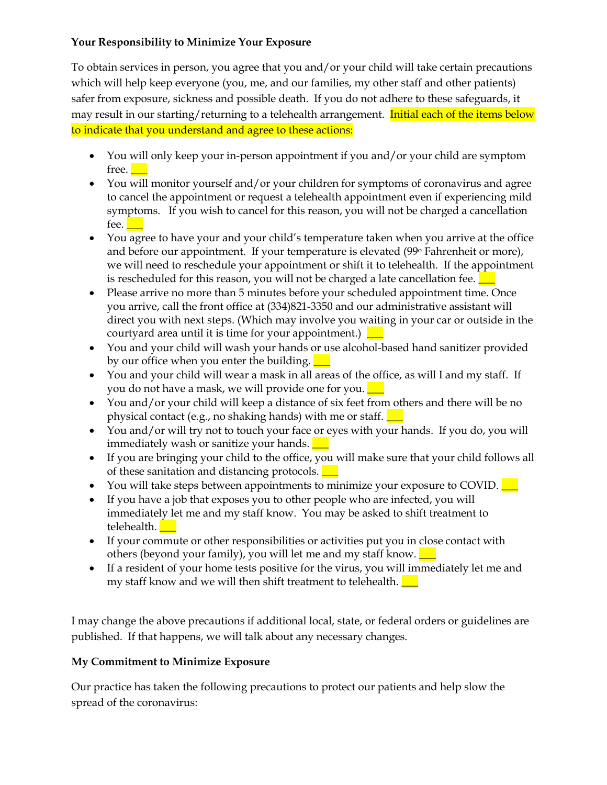#### **Your Responsibility to Minimize Your Exposure**

To obtain services in person, you agree that you and/or your child will take certain precautions which will help keep everyone (you, me, and our families, my other staff and other patients) safer from exposure, sickness and possible death. If you do not adhere to these safeguards, it may result in our starting/returning to a telehealth arrangement. Initial each of the items below to indicate that you understand and agree to these actions:

- You will only keep your in-person appointment if you and/or your child are symptom free. **Let**
- You will monitor yourself and/or your children for symptoms of coronavirus and agree to cancel the appointment or request a telehealth appointment even if experiencing mild symptoms. If you wish to cancel for this reason, you will not be charged a cancellation fee.
- You agree to have your and your child's temperature taken when you arrive at the office and before our appointment. If your temperature is elevated (99<sup>o</sup> Fahrenheit or more), we will need to reschedule your appointment or shift it to telehealth. If the appointment is rescheduled for this reason, you will not be charged a late cancellation fee.  $\blacksquare$
- Please arrive no more than 5 minutes before your scheduled appointment time. Once you arrive, call the front office at (334)821-3350 and our administrative assistant will direct you with next steps. (Which may involve you waiting in your car or outside in the courtyard area until it is time for your appointment.)  $\Box$
- You and your child will wash your hands or use alcohol-based hand sanitizer provided by our office when you enter the building.  $\Box$
- You and your child will wear a mask in all areas of the office, as will I and my staff. If you do not have a mask, we will provide one for you.  $\Box$
- You and/or your child will keep a distance of six feet from others and there will be no physical contact (e.g., no shaking hands) with me or staff.  $\Box$
- You and/or will try not to touch your face or eyes with your hands. If you do, you will immediately wash or sanitize your hands.
- If you are bringing your child to the office, you will make sure that your child follows all of these sanitation and distancing protocols.  $\Box$
- You will take steps between appointments to minimize your exposure to COVID.  $\Box$
- If you have a job that exposes you to other people who are infected, you will immediately let me and my staff know. You may be asked to shift treatment to telehealth.
- If your commute or other responsibilities or activities put you in close contact with others (beyond your family), you will let me and my staff know.  $\Box$
- If a resident of your home tests positive for the virus, you will immediately let me and my staff know and we will then shift treatment to telehealth.  $\Box$

I may change the above precautions if additional local, state, or federal orders or guidelines are published. If that happens, we will talk about any necessary changes.

# **My Commitment to Minimize Exposure**

Our practice has taken the following precautions to protect our patients and help slow the spread of the coronavirus: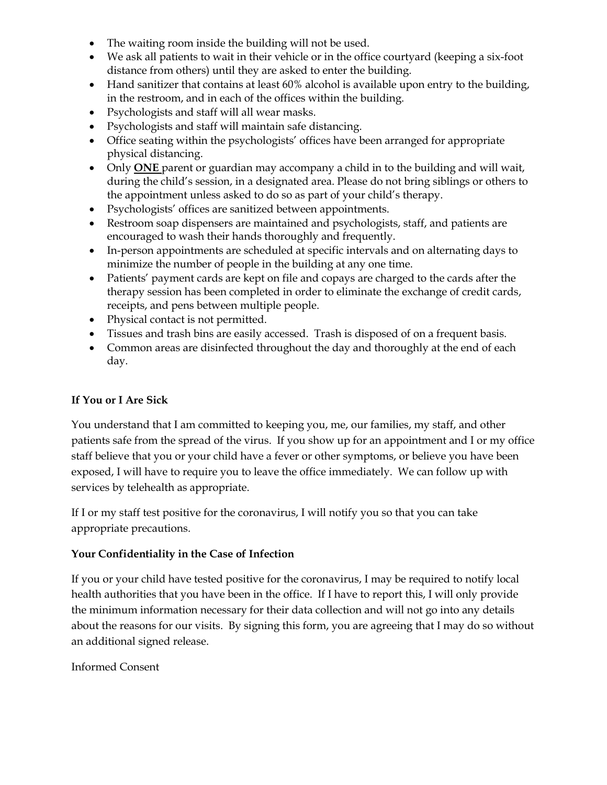- The waiting room inside the building will not be used.
- We ask all patients to wait in their vehicle or in the office courtyard (keeping a six-foot distance from others) until they are asked to enter the building.
- Hand sanitizer that contains at least 60% alcohol is available upon entry to the building, in the restroom, and in each of the offices within the building.
- Psychologists and staff will all wear masks.
- Psychologists and staff will maintain safe distancing.
- Office seating within the psychologists' offices have been arranged for appropriate physical distancing.
- Only **ONE** parent or guardian may accompany a child in to the building and will wait, during the child's session, in a designated area. Please do not bring siblings or others to the appointment unless asked to do so as part of your child's therapy.
- Psychologists' offices are sanitized between appointments.
- Restroom soap dispensers are maintained and psychologists, staff, and patients are encouraged to wash their hands thoroughly and frequently.
- In-person appointments are scheduled at specific intervals and on alternating days to minimize the number of people in the building at any one time.
- Patients' payment cards are kept on file and copays are charged to the cards after the therapy session has been completed in order to eliminate the exchange of credit cards, receipts, and pens between multiple people.
- Physical contact is not permitted.
- Tissues and trash bins are easily accessed. Trash is disposed of on a frequent basis.
- Common areas are disinfected throughout the day and thoroughly at the end of each day.

## **If You or I Are Sick**

You understand that I am committed to keeping you, me, our families, my staff, and other patients safe from the spread of the virus. If you show up for an appointment and I or my office staff believe that you or your child have a fever or other symptoms, or believe you have been exposed, I will have to require you to leave the office immediately. We can follow up with services by telehealth as appropriate.

If I or my staff test positive for the coronavirus, I will notify you so that you can take appropriate precautions.

#### **Your Confidentiality in the Case of Infection**

If you or your child have tested positive for the coronavirus, I may be required to notify local health authorities that you have been in the office. If I have to report this, I will only provide the minimum information necessary for their data collection and will not go into any details about the reasons for our visits. By signing this form, you are agreeing that I may do so without an additional signed release.

#### Informed Consent